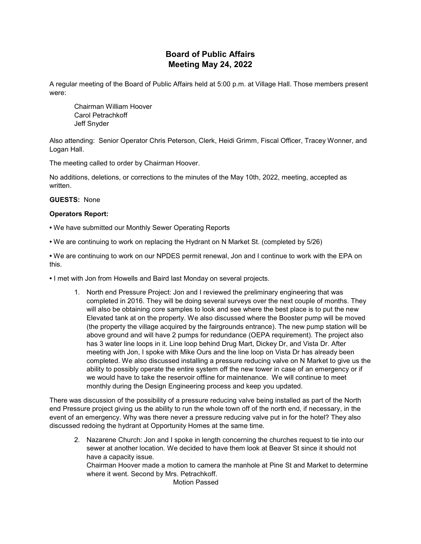# **Board of Public Affairs Meeting May 24, 2022**

A regular meeting of the Board of Public Affairs held at 5:00 p.m. at Village Hall. Those members present were:

Chairman William Hoover Carol Petrachkoff Jeff Snyder

Also attending: Senior Operator Chris Peterson, Clerk, Heidi Grimm, Fiscal Officer, Tracey Wonner, and Logan Hall.

The meeting called to order by Chairman Hoover.

No additions, deletions, or corrections to the minutes of the May 10th, 2022, meeting, accepted as written.

### **GUESTS:** None

### **Operators Report:**

- We have submitted our Monthly Sewer Operating Reports
- We are continuing to work on replacing the Hydrant on N Market St. (completed by 5/26)

**•** We are continuing to work on our NPDES permit renewal, Jon and I continue to work with the EPA on this.

- I met with Jon from Howells and Baird last Monday on several projects.
	- 1. North end Pressure Project: Jon and I reviewed the preliminary engineering that was completed in 2016. They will be doing several surveys over the next couple of months. They will also be obtaining core samples to look and see where the best place is to put the new Elevated tank at on the property. We also discussed where the Booster pump will be moved (the property the village acquired by the fairgrounds entrance). The new pump station will be above ground and will have 2 pumps for redundance (OEPA requirement). The project also has 3 water line loops in it. Line loop behind Drug Mart, Dickey Dr, and Vista Dr. After meeting with Jon, I spoke with Mike Ours and the line loop on Vista Dr has already been completed. We also discussed installing a pressure reducing valve on N Market to give us the ability to possibly operate the entire system off the new tower in case of an emergency or if we would have to take the reservoir offline for maintenance. We will continue to meet monthly during the Design Engineering process and keep you updated.

There was discussion of the possibility of a pressure reducing valve being installed as part of the North end Pressure project giving us the ability to run the whole town off of the north end, if necessary, in the event of an emergency. Why was there never a pressure reducing valve put in for the hotel? They also discussed redoing the hydrant at Opportunity Homes at the same time.

2. Nazarene Church: Jon and I spoke in length concerning the churches request to tie into our sewer at another location. We decided to have them look at Beaver St since it should not have a capacity issue.

Chairman Hoover made a motion to camera the manhole at Pine St and Market to determine where it went. Second by Mrs. Petrachkoff.

Motion Passed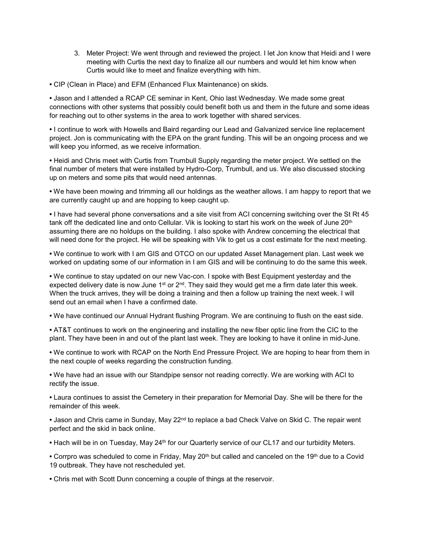- 3. Meter Project: We went through and reviewed the project. I let Jon know that Heidi and I were meeting with Curtis the next day to finalize all our numbers and would let him know when Curtis would like to meet and finalize everything with him.
- CIP (Clean in Place) and EFM (Enhanced Flux Maintenance) on skids.

**•** Jason and I attended a RCAP CE seminar in Kent, Ohio last Wednesday. We made some great connections with other systems that possibly could benefit both us and them in the future and some ideas for reaching out to other systems in the area to work together with shared services.

**•** I continue to work with Howells and Baird regarding our Lead and Galvanized service line replacement project. Jon is communicating with the EPA on the grant funding. This will be an ongoing process and we will keep you informed, as we receive information.

**•** Heidi and Chris meet with Curtis from Trumbull Supply regarding the meter project. We settled on the final number of meters that were installed by Hydro-Corp, Trumbull, and us. We also discussed stocking up on meters and some pits that would need antennas.

**•** We have been mowing and trimming all our holdings as the weather allows. I am happy to report that we are currently caught up and are hopping to keep caught up.

**•** I have had several phone conversations and a site visit from ACI concerning switching over the St Rt 45 tank off the dedicated line and onto Cellular. Vik is looking to start his work on the week of June 20<sup>th</sup> assuming there are no holdups on the building. I also spoke with Andrew concerning the electrical that will need done for the project. He will be speaking with Vik to get us a cost estimate for the next meeting.

**•** We continue to work with I am GIS and OTCO on our updated Asset Management plan. Last week we worked on updating some of our information in I am GIS and will be continuing to do the same this week.

**•** We continue to stay updated on our new Vac-con. I spoke with Best Equipment yesterday and the expected delivery date is now June  $1^{st}$  or  $2^{nd}$ . They said they would get me a firm date later this week. When the truck arrives, they will be doing a training and then a follow up training the next week. I will send out an email when I have a confirmed date.

**•** We have continued our Annual Hydrant flushing Program. We are continuing to flush on the east side.

**•** AT&T continues to work on the engineering and installing the new fiber optic line from the CIC to the plant. They have been in and out of the plant last week. They are looking to have it online in mid-June.

**•** We continue to work with RCAP on the North End Pressure Project. We are hoping to hear from them in the next couple of weeks regarding the construction funding.

**•** We have had an issue with our Standpipe sensor not reading correctly. We are working with ACI to rectify the issue.

**•** Laura continues to assist the Cemetery in their preparation for Memorial Day. She will be there for the remainder of this week.

• Jason and Chris came in Sunday, May 22<sup>nd</sup> to replace a bad Check Valve on Skid C. The repair went perfect and the skid in back online.

• Hach will be in on Tuesday, May 24<sup>th</sup> for our Quarterly service of our CL17 and our turbidity Meters.

• Corrpro was scheduled to come in Friday, May 20<sup>th</sup> but called and canceled on the 19<sup>th</sup> due to a Covid 19 outbreak. They have not rescheduled yet.

**•** Chris met with Scott Dunn concerning a couple of things at the reservoir.